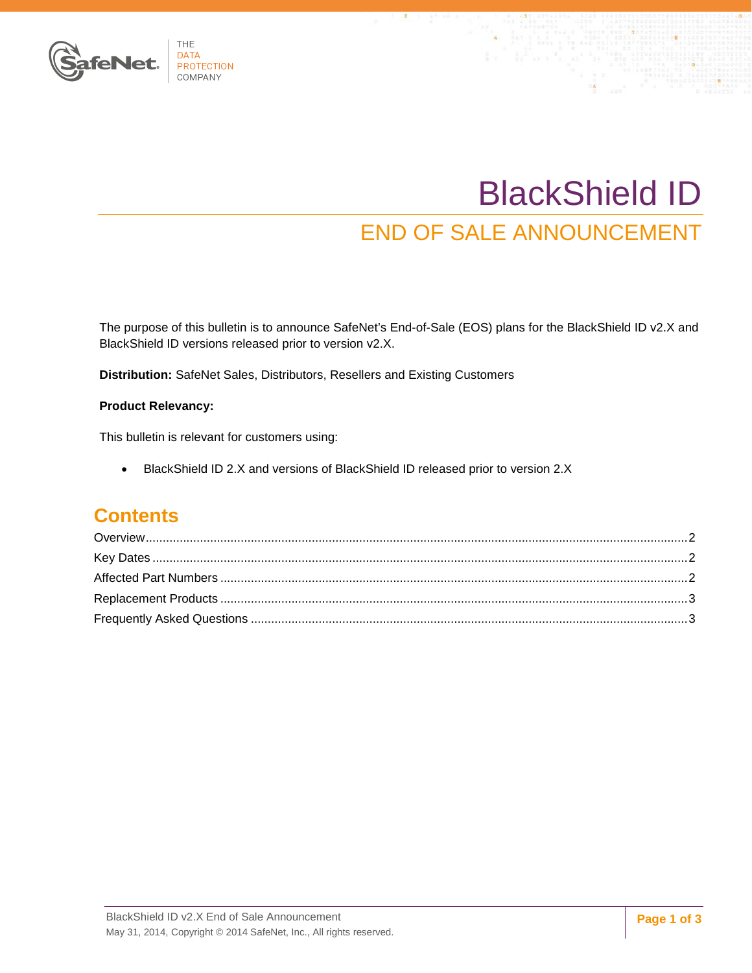

# BlackShield ID END OF SALE ANNOUNCEMENT

The purpose of this bulletin is to announce SafeNet's End-of-Sale (EOS) plans for the BlackShield ID v2.X and BlackShield ID versions released prior to version v2.X.

**Distribution:** SafeNet Sales, Distributors, Resellers and Existing Customers

#### **Product Relevancy:**

This bulletin is relevant for customers using:

• BlackShield ID 2.X and versions of BlackShield ID released prior to version 2.X

## **Contents**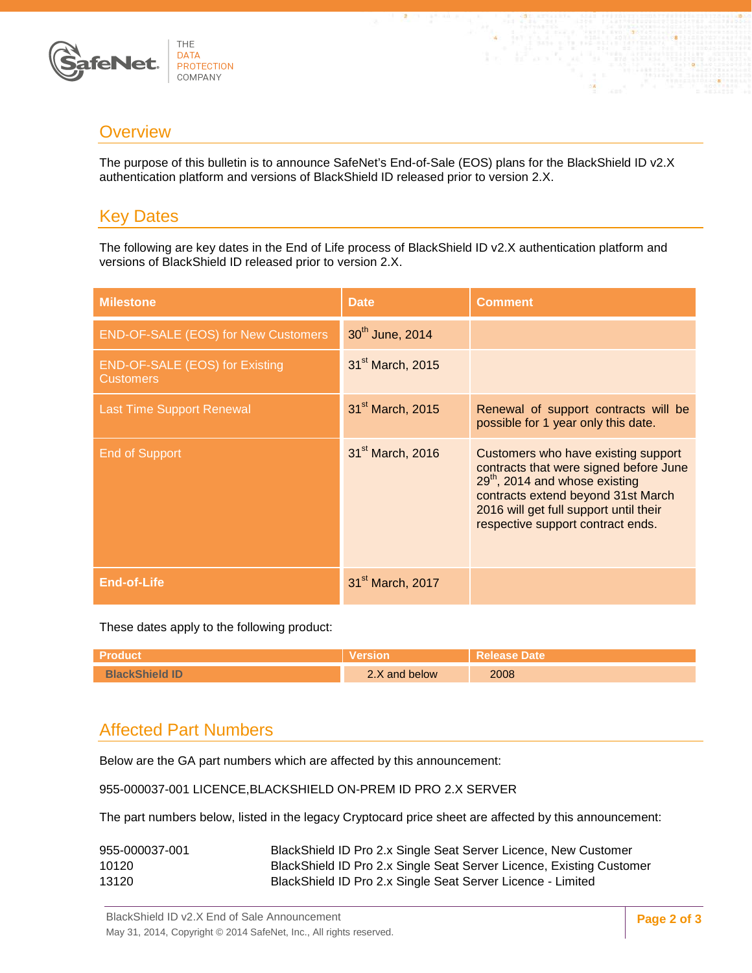

## <span id="page-1-0"></span>**Overview**

The purpose of this bulletin is to announce SafeNet's End-of-Sale (EOS) plans for the BlackShield ID v2.X authentication platform and versions of BlackShield ID released prior to version 2.X.

# <span id="page-1-1"></span>Key Dates

The following are key dates in the End of Life process of BlackShield ID v2.X authentication platform and versions of BlackShield ID released prior to version 2.X.

| <b>Milestone</b>                                          | <b>Date</b>                  | <b>Comment</b>                                                                                                                                                                                                                                   |
|-----------------------------------------------------------|------------------------------|--------------------------------------------------------------------------------------------------------------------------------------------------------------------------------------------------------------------------------------------------|
| <b>END-OF-SALE (EOS) for New Customers</b>                | 30 <sup>th</sup> June, 2014  |                                                                                                                                                                                                                                                  |
| <b>END-OF-SALE (EOS) for Existing</b><br><b>Customers</b> | 31 <sup>st</sup> March, 2015 |                                                                                                                                                                                                                                                  |
| <b>Last Time Support Renewal</b>                          | 31 <sup>st</sup> March, 2015 | Renewal of support contracts will be<br>possible for 1 year only this date.                                                                                                                                                                      |
| End of Support                                            | 31 <sup>st</sup> March, 2016 | Customers who have existing support<br>contracts that were signed before June<br>29 <sup>th</sup> , 2014 and whose existing<br>contracts extend beyond 31st March<br>2016 will get full support until their<br>respective support contract ends. |
| End-of-Life                                               | 31 <sup>st</sup> March, 2017 |                                                                                                                                                                                                                                                  |

These dates apply to the following product:

| $\sim$<br>$\sim$<br>$\frac{1}{2}$ OW | 2008 |
|--------------------------------------|------|

# <span id="page-1-2"></span>Affected Part Numbers

Below are the GA part numbers which are affected by this announcement:

955-000037-001 LICENCE,BLACKSHIELD ON-PREM ID PRO 2.X SERVER

The part numbers below, listed in the legacy Cryptocard price sheet are affected by this announcement:

| 955-000037-001 | BlackShield ID Pro 2.x Single Seat Server Licence, New Customer      |
|----------------|----------------------------------------------------------------------|
| 10120          | BlackShield ID Pro 2.x Single Seat Server Licence, Existing Customer |
| 13120          | BlackShield ID Pro 2.x Single Seat Server Licence - Limited          |

BlackShield ID v2.X End of Sale Announcement May 31, 2014, Copyright © 2014 SafeNet, Inc., All rights reserved.